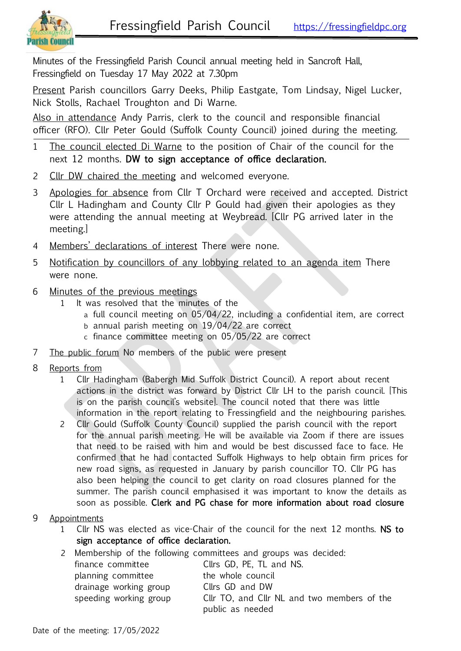

Minutes of the Fressingfield Parish Council annual meeting held in Sancroft Hall, Fressingfield on Tuesday 17 May 2022 at 7.30pm

Present Parish councillors Garry Deeks, Philip Eastgate, Tom Lindsay, Nigel Lucker, Nick Stolls, Rachael Troughton and Di Warne.

Also in attendance Andy Parris, clerk to the council and responsible financial officer (RFO). Cllr Peter Gould (Suffolk County Council) joined during the meeting.

- 1 The council elected Di Warne to the position of Chair of the council for the next 12 months. DW to sign acceptance of office declaration.
- 2 Cllr DW chaired the meeting and welcomed everyone.
- 3 Apologies for absence from Cllr T Orchard were received and accepted. District Cllr L Hadingham and County Cllr P Gould had given their apologies as they were attending the annual meeting at Weybread. [Cllr PG arrived later in the meeting.]
- 4 Members' declarations of interest There were none.
- 5 Notification by councillors of any lobbying related to an agenda item There were none.
- 6 Minutes of the previous meetings
	- It was resolved that the minutes of the
		- a full council meeting on 05/04/22, including a confidential item, are correct
		- b annual parish meeting on 19/04/22 are correct
		- c finance committee meeting on 05/05/22 are correct
- 7 The public forum No members of the public were present
- 8 Reports from
	- 1 Cllr Hadingham (Babergh Mid Suffolk District Council). A report about recent actions in the district was forward by District Cllr LH to the parish council. [This is on the parish council's website]. The council noted that there was little information in the report relating to Fressingfield and the neighbouring parishes.
	- 2 Cllr Gould (Suffolk County Council) supplied the parish council with the report for the annual parish meeting. He will be available via Zoom if there are issues that need to be raised with him and would be best discussed face to face. He confirmed that he had contacted Suffolk Highways to help obtain firm prices for new road signs, as requested in January by parish councillor TO. Cllr PG has also been helping the council to get clarity on road closures planned for the summer. The parish council emphasised it was important to know the details as soon as possible. Clerk and PG chase for more information about road closure
- 9 Appointments
	- 1 Cllr NS was elected as vice-Chair of the council for the next 12 months. NS to sign acceptance of office declaration.
	- 2 Membership of the following committees and groups was decided:

| finance committee      | Cllrs GD, PE, TL and NS.                    |
|------------------------|---------------------------------------------|
| planning committee     | the whole council                           |
| drainage working group | Cllrs GD and DW                             |
| speeding working group | Cllr TO, and Cllr NL and two members of the |
|                        | public as needed                            |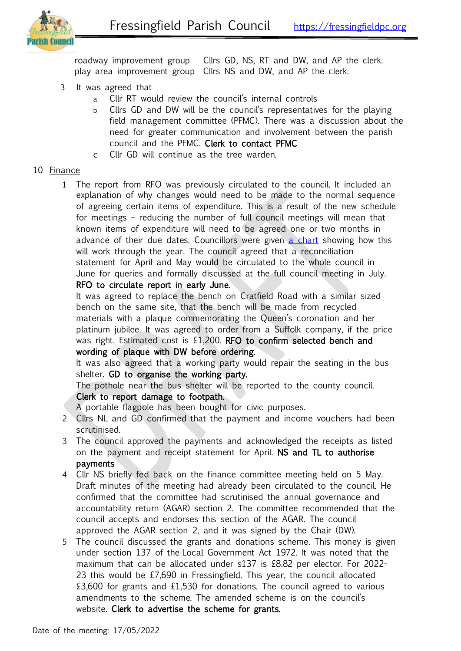

roadway improvement group Cllrs GD, NS, RT and DW, and AP the clerk. play area improvement group Cllrs NS and DW, and AP the clerk.

- 3 It was agreed that
	- a Cllr RT would review the council's internal controls
	- b Cllrs GD and DW will be the council's representatives for the playing field management committee (PFMC). There was a discussion about the need for greater communication and involvement between the parish council and the PFMC. Clerk to contact PFMC
	- c Cllr GD will continue as the tree warden.

## 10 Finance

1 The report from RFO was previously circulated to the council. It included an explanation of why changes would need to be made to the normal sequence of agreeing certain items of expenditure. This is a result of the new schedule for meetings – reducing the number of full council meetings will mean that known items of expenditure will need to be agreed one or two months in advance of their due dates. Councillors were given [a chart](https://fressingfieldpc.files.wordpress.com/2022/05/making-sure-payments-are-made-on-time.pdf) showing how this will work through the year. The council agreed that a reconciliation statement for April and May would be circulated to the whole council in June for queries and formally discussed at the full council meeting in July.

# RFO to circulate report in early June.

It was agreed to replace the bench on Cratfield Road with a similar sized bench on the same site, that the bench will be made from recycled materials with a plaque commemorating the Queen's coronation and her platinum jubilee. It was agreed to order from a Suffolk company, if the price was right. Estimated cost is £1,200. RFO to confirm selected bench and wording of plaque with DW before ordering.

It was also agreed that a working party would repair the seating in the bus shelter. GD to organise the working party.

The pothole near the bus shelter will be reported to the county council. Clerk to report damage to footpath.

A portable flagpole has been bought for civic purposes.

- 2 Cllrs NL and GD confirmed that the payment and income vouchers had been scrutinised.
- 3 The council approved the payments and acknowledged the receipts as listed on the payment and receipt statement for April. NS and TL to authorise payments
- 4 Cllr NS briefly fed back on the finance committee meeting held on 5 May. Draft minutes of the meeting had already been circulated to the council. He confirmed that the committee had scrutinised the annual governance and accountability return (AGAR) section 2. The committee recommended that the council accepts and endorses this section of the AGAR. The council approved the AGAR section 2, and it was signed by the Chair (DW).
- 5 The council discussed the grants and donations scheme. This money is given under section 137 of the Local Government Act 1972. It was noted that the maximum that can be allocated under s137 is £8.82 per elector. For 2022- 23 this would be £7,690 in Fressingfield. This year, the council allocated £3,600 for grants and £1,530 for donations. The council agreed to various amendments to the scheme. The amended scheme is on the council's website. Clerk to advertise the scheme for grants.